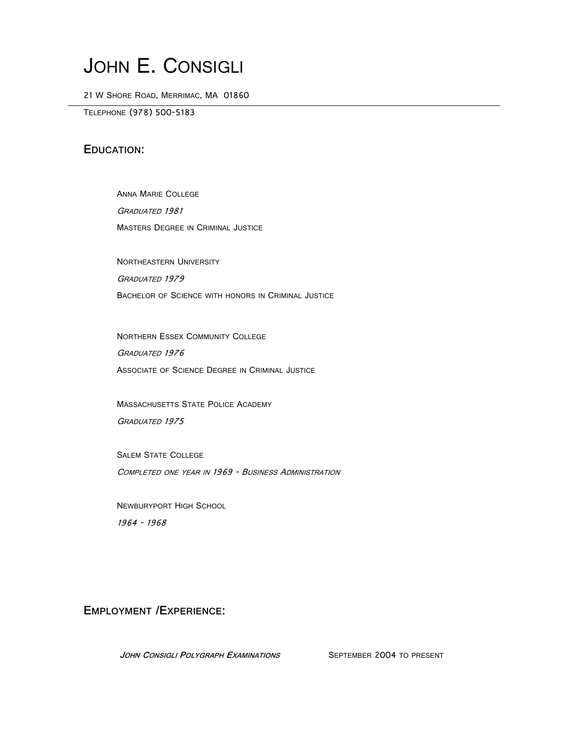# JOHN E. CONSIGLI

21 W SHORE ROAD, MERRIMAC, MA 01860

TELEPHONE (978) 500-5183

### **EDUCATION:**

ANNA MARIE COLLEGE GRADUATED 1981 MASTERS DEGREE IN CRIMINAL JUSTICE

NORTHEASTERN UNIVERSITY GRADUATED 1979 BACHELOR OF SCIENCE WITH HONORS IN CRIMINAL JUSTICE

NORTHERN ESSEX COMMUNITY COLLEGE GRADUATED 1976 ASSOCIATE OF SCIENCE DEGREE IN CRIMINAL JUSTICE

MASSACHUSETTS STATE POLICE ACADEMY GRADUATED 1975

SALEM STATE COLLEGE COMPLETED ONE YEAR IN 1969 - BUSINESS ADMINISTRATION

NEWBURYPORT HIGH SCHOOL 1964 - 1968

**EMPLOYMENT /EXPERIENCE:**

JOHN CONSIGLI POLYGRAPH EXAMINATIONS SEPTEMBER 2004 TO PRESENT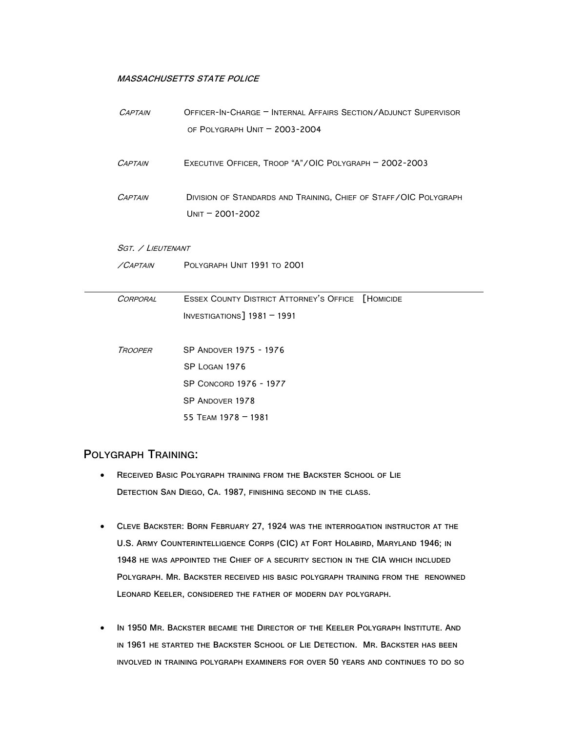#### **MASSACHUSETTS STATE POLICE**

| <b>CAPTAIN</b>    | OFFICER-IN-CHARGE - INTERNAL AFFAIRS SECTION/ADJUNCT SUPERVISOR<br>OF POLYGRAPH UNIT - 2003-2004 |
|-------------------|--------------------------------------------------------------------------------------------------|
| <b>CAPTAIN</b>    | EXECUTIVE OFFICER, TROOP "A"/OIC POLYGRAPH - 2002-2003                                           |
| <b>CAPTAIN</b>    | DIVISION OF STANDARDS AND TRAINING, CHIEF OF STAFF/OIC POLYGRAPH<br>$UNIT = 2001 - 2002$         |
| SGT. / LIEUTENANT |                                                                                                  |
| /CAPTAIN          | POLYGRAPH UNIT 1991 TO 2001                                                                      |
| CORPORAL          | <b>ESSEX COUNTY DISTRICT ATTORNEY'S OFFICE [HOMICIDE</b>                                         |
|                   | INVESTIGATIONS] 1981 - 1991                                                                      |
| <b>TROOPER</b>    | SP ANDOVER 1975 - 1976                                                                           |
|                   | SP LOGAN 1976                                                                                    |
|                   | SP CONCORD 1976 - 1977                                                                           |
|                   | SP ANDOVER 1978                                                                                  |
|                   | 55 TEAM 1978 - 1981                                                                              |

### **POLYGRAPH TRAINING:**

- **RECEIVED BASIC POLYGRAPH TRAINING FROM THE BACKSTER SCHOOL OF LIE DETECTION SAN DIEGO, CA. 1987, FINISHING SECOND IN THE CLASS.**
- **CLEVE BACKSTER: BORN FEBRUARY 27, 1924 WAS THE INTERROGATION INSTRUCTOR AT THE U.S. ARMY COUNTERINTELLIGENCE CORPS (CIC) AT FORT HOLABIRD, MARYLAND 1946; IN 1948 HE WAS APPOINTED THE CHIEF OF A SECURITY SECTION IN THE CIA WHICH INCLUDED POLYGRAPH. MR. BACKSTER RECEIVED HIS BASIC POLYGRAPH TRAINING FROM THE RENOWNED LEONARD KEELER, CONSIDERED THE FATHER OF MODERN DAY POLYGRAPH.**
- **IN 1950 MR. BACKSTER BECAME THE DIRECTOR OF THE KEELER POLYGRAPH INSTITUTE. AND IN 1961 HE STARTED THE BACKSTER SCHOOL OF LIE DETECTION. MR. BACKSTER HAS BEEN INVOLVED IN TRAINING POLYGRAPH EXAMINERS FOR OVER 50 YEARS AND CONTINUES TO DO SO**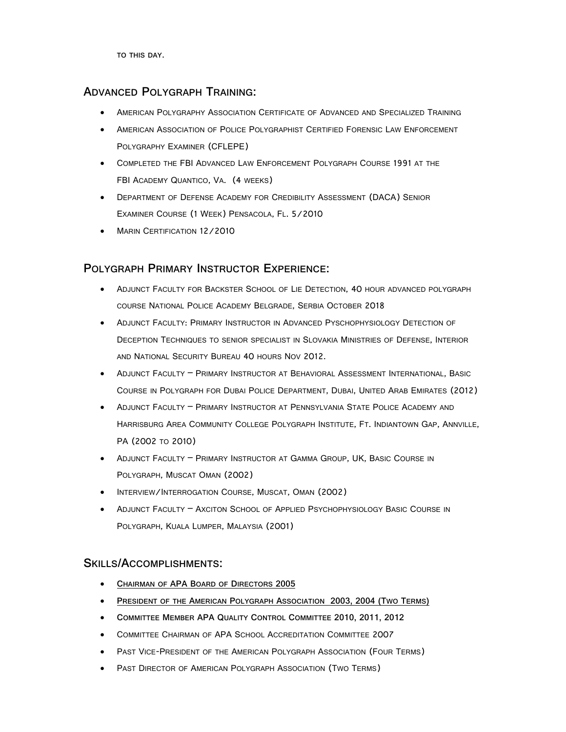**TO THIS DAY.**

### **ADVANCED POLYGRAPH TRAINING:**

- AMERICAN POLYGRAPHY ASSOCIATION CERTIFICATE OF ADVANCED AND SPECIALIZED TRAINING
- AMERICAN ASSOCIATION OF POLICE POLYGRAPHIST CERTIFIED FORENSIC LAW ENFORCEMENT POLYGRAPHY EXAMINER (CFLEPE)
- COMPLETED THE FBI ADVANCED LAW ENFORCEMENT POLYGRAPH COURSE 1991 AT THE FBI ACADEMY QUANTICO, VA. (4 WEEKS)
- DEPARTMENT OF DEFENSE ACADEMY FOR CREDIBILITY ASSESSMENT (DACA) SENIOR EXAMINER COURSE (1 WEEK) PENSACOLA, FL. 5/2010
- MARIN CERTIFICATION 12/2010

## **POLYGRAPH PRIMARY INSTRUCTOR EXPERIENCE:**

- ADJUNCT FACULTY FOR BACKSTER SCHOOL OF LIE DETECTION, 40 HOUR ADVANCED POLYGRAPH COURSE NATIONAL POLICE ACADEMY BELGRADE, SERBIA OCTOBER 2018
- ADJUNCT FACULTY: PRIMARY INSTRUCTOR IN ADVANCED PYSCHOPHYSIOLOGY DETECTION OF DECEPTION TECHNIQUES TO SENIOR SPECIALIST IN SLOVAKIA MINISTRIES OF DEFENSE, INTERIOR AND NATIONAL SECURITY BUREAU 40 HOURS NOV 2012.
- ADJUNCT FACULTY PRIMARY INSTRUCTOR AT BEHAVIORAL ASSESSMENT INTERNATIONAL, BASIC COURSE IN POLYGRAPH FOR DUBAI POLICE DEPARTMENT, DUBAI, UNITED ARAB EMIRATES (2012)
- ADJUNCT FACULTY PRIMARY INSTRUCTOR AT PENNSYLVANIA STATE POLICE ACADEMY AND HARRISBURG AREA COMMUNITY COLLEGE POLYGRAPH INSTITUTE, FT. INDIANTOWN GAP, ANNVILLE, PA (2002 TO 2010)
- ADJUNCT FACULTY PRIMARY INSTRUCTOR AT GAMMA GROUP, UK, BASIC COURSE IN POLYGRAPH, MUSCAT OMAN (2002)
- INTERVIEW/INTERROGATION COURSE, MUSCAT, OMAN (2002)
- ADJUNCT FACULTY AXCITON SCHOOL OF APPLIED PSYCHOPHYSIOLOGY BASIC COURSE IN POLYGRAPH, KUALA LUMPER, MALAYSIA (2001)

#### **SKILLS/ACCOMPLISHMENTS:**

- **CHAIRMAN OF APA BOARD OF DIRECTORS 2005**
- **PRESIDENT OF THE AMERICAN POLYGRAPH ASSOCIATION 2003, 2004 (TWO TERMS)**
- **COMMITTEE MEMBER APA QUALITY CONTROL COMMITTEE 2010, 2011, 2012**
- COMMITTEE CHAIRMAN OF APA SCHOOL ACCREDITATION COMMITTEE 2007
- PAST VICE-PRESIDENT OF THE AMERICAN POLYGRAPH ASSOCIATION (FOUR TERMS)
- PAST DIRECTOR OF AMERICAN POLYGRAPH ASSOCIATION (TWO TERMS)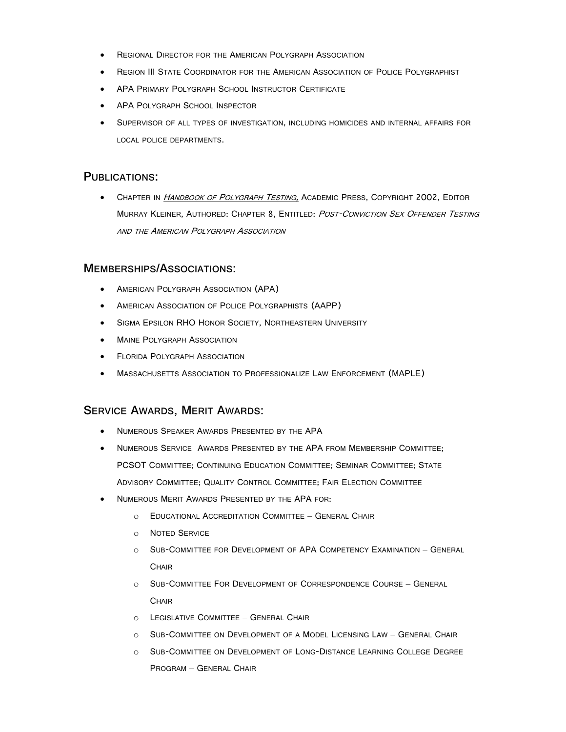- REGIONAL DIRECTOR FOR THE AMERICAN POLYGRAPH ASSOCIATION
- REGION III STATE COORDINATOR FOR THE AMERICAN ASSOCIATION OF POLICE POLYGRAPHIST
- APA PRIMARY POLYGRAPH SCHOOL INSTRUCTOR CERTIFICATE
- APA POLYGRAPH SCHOOL INSPECTOR
- SUPERVISOR OF ALL TYPES OF INVESTIGATION, INCLUDING HOMICIDES AND INTERNAL AFFAIRS FOR LOCAL POLICE DEPARTMENTS.

#### **PUBLICATIONS:**

• CHAPTER IN *HANDBOOK OF POLYGRAPH TESTING,* ACADEMIC PRESS, COPYRIGHT 2002, EDITOR MURRAY KLEINER, AUTHORED: CHAPTER 8, ENTITLED: POST-CONVICTION SEX OFFENDER TESTING AND THE AMERICAN POLYGRAPH ASSOCIATION

#### **MEMBERSHIPS/ASSOCIATIONS:**

- AMERICAN POLYGRAPH ASSOCIATION (APA)
- AMERICAN ASSOCIATION OF POLICE POLYGRAPHISTS (AAPP)
- SIGMA EPSILON RHO HONOR SOCIETY, NORTHEASTERN UNIVERSITY
- MAINE POLYGRAPH ASSOCIATION
- **FLORIDA POLYGRAPH ASSOCIATION**
- MASSACHUSETTS ASSOCIATION TO PROFESSIONALIZE LAW ENFORCEMENT (MAPLE)

#### **SERVICE AWARDS, MERIT AWARDS:**

- NUMEROUS SPEAKER AWARDS PRESENTED BY THE APA
- NUMEROUS SERVICE AWARDS PRESENTED BY THE APA FROM MEMBERSHIP COMMITTEE; PCSOT COMMITTEE; CONTINUING EDUCATION COMMITTEE; SEMINAR COMMITTEE; STATE ADVISORY COMMITTEE; QUALITY CONTROL COMMITTEE; FAIR ELECTION COMMITTEE
- NUMEROUS MERIT AWARDS PRESENTED BY THE APA FOR:
	- o EDUCATIONAL ACCREDITATION COMMITTEE GENERAL CHAIR
	- o NOTED SERVICE
	- o SUB-COMMITTEE FOR DEVELOPMENT OF APA COMPETENCY EXAMINATION GENERAL **CHAIR**
	- o SUB-COMMITTEE FOR DEVELOPMENT OF CORRESPONDENCE COURSE GENERAL **CHAIR**
	- o LEGISLATIVE COMMITTEE GENERAL CHAIR
	- o SUB-COMMITTEE ON DEVELOPMENT OF A MODEL LICENSING LAW GENERAL CHAIR
	- o SUB-COMMITTEE ON DEVELOPMENT OF LONG-DISTANCE LEARNING COLLEGE DEGREE PROGRAM – GENERAL CHAIR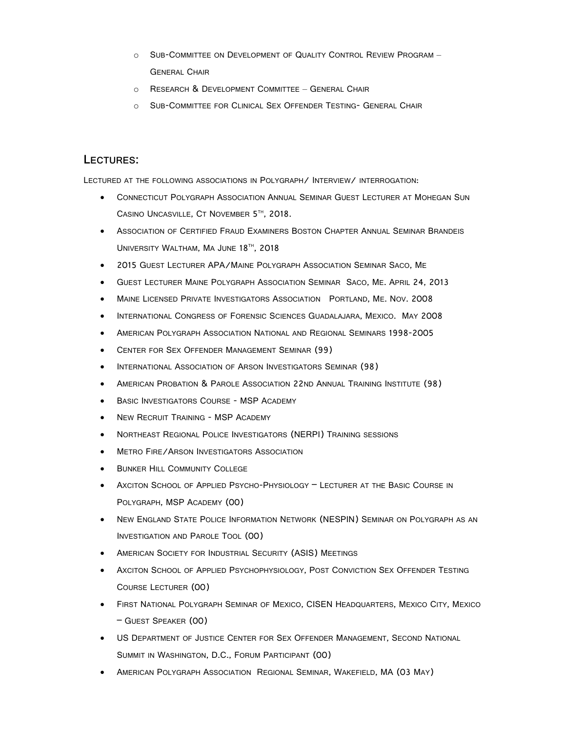- o SUB-COMMITTEE ON DEVELOPMENT OF QUALITY CONTROL REVIEW PROGRAM GENERAL CHAIR
- o RESEARCH & DEVELOPMENT COMMITTEE GENERAL CHAIR
- o SUB-COMMITTEE FOR CLINICAL SEX OFFENDER TESTING- GENERAL CHAIR

#### **LECTURES:**

LECTURED AT THE FOLLOWING ASSOCIATIONS IN POLYGRAPH/ INTERVIEW/ INTERROGATION:

- CONNECTICUT POLYGRAPH ASSOCIATION ANNUAL SEMINAR GUEST LECTURER AT MOHEGAN SUN CASINO UNCASVILLE, CT NOVEMBER 5TH, 2018.
- ASSOCIATION OF CERTIFIED FRAUD EXAMINERS BOSTON CHAPTER ANNUAL SEMINAR BRANDEIS UNIVERSITY WALTHAM, MA JUNE 18TH, 2018
- 2015 GUEST LECTURER APA/MAINE POLYGRAPH ASSOCIATION SEMINAR SACO, ME
- GUEST LECTURER MAINE POLYGRAPH ASSOCIATION SEMINAR SACO, ME. APRIL 24, 2013
- MAINE LICENSED PRIVATE INVESTIGATORS ASSOCIATION PORTLAND, ME. NOV. 2008
- INTERNATIONAL CONGRESS OF FORENSIC SCIENCES GUADALAJARA, MEXICO. MAY 2008
- AMERICAN POLYGRAPH ASSOCIATION NATIONAL AND REGIONAL SEMINARS 1998-2005
- CENTER FOR SEX OFFENDER MANAGEMENT SEMINAR (99)
- INTERNATIONAL ASSOCIATION OF ARSON INVESTIGATORS SEMINAR (98)
- AMERICAN PROBATION & PAROLE ASSOCIATION 22ND ANNUAL TRAINING INSTITUTE (98)
- BASIC INVESTIGATORS COURSE MSP ACADEMY
- **NEW RECRUIT TRAINING MSP ACADEMY**
- NORTHEAST REGIONAL POLICE INVESTIGATORS (NERPI) TRAINING SESSIONS
- METRO FIRE/ARSON INVESTIGATORS ASSOCIATION
- **BUNKER HILL COMMUNITY COLLEGE**
- AXCITON SCHOOL OF APPLIED PSYCHO-PHYSIOLOGY LECTURER AT THE BASIC COURSE IN POLYGRAPH, MSP ACADEMY (00)
- NEW ENGLAND STATE POLICE INFORMATION NETWORK (NESPIN) SEMINAR ON POLYGRAPH AS AN INVESTIGATION AND PAROLE TOOL (00)
- AMERICAN SOCIETY FOR INDUSTRIAL SECURITY (ASIS) MEETINGS
- AXCITON SCHOOL OF APPLIED PSYCHOPHYSIOLOGY, POST CONVICTION SEX OFFENDER TESTING COURSE LECTURER (00)
- FIRST NATIONAL POLYGRAPH SEMINAR OF MEXICO, CISEN HEADQUARTERS, MEXICO CITY, MEXICO – GUEST SPEAKER (00)
- US DEPARTMENT OF JUSTICE CENTER FOR SEX OFFENDER MANAGEMENT, SECOND NATIONAL SUMMIT IN WASHINGTON, D.C., FORUM PARTICIPANT (00)
- AMERICAN POLYGRAPH ASSOCIATION REGIONAL SEMINAR, WAKEFIELD, MA (03 MAY)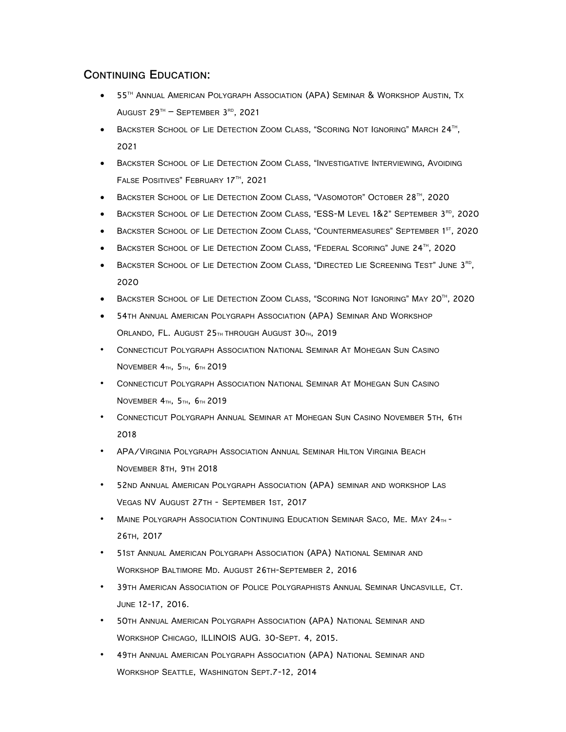## **CONTINUING EDUCATION:**

- 55<sup>TH</sup> ANNUAL AMERICAN POLYGRAPH ASSOCIATION (APA) SEMINAR & WORKSHOP AUSTIN, TX AUGUST  $29^{TH}$  – SEPTEMBER  $3^{RD}$ , 2021
- BACKSTER SCHOOL OF LIE DETECTION ZOOM CLASS, "SCORING NOT IGNORING" MARCH 24<sup>TH</sup>, 2021
- BACKSTER SCHOOL OF LIE DETECTION ZOOM CLASS, "INVESTIGATIVE INTERVIEWING, AVOIDING FALSE POSITIVES" FEBRUARY 17TH, 2021
- BACKSTER SCHOOL OF LIE DETECTION ZOOM CLASS, "VASOMOTOR" OCTOBER 28<sup>TH</sup>, 2020
- BACKSTER SCHOOL OF LIE DETECTION ZOOM CLASS, "ESS-M LEVEL 1&2" SEPTEMBER 3<sup>RD</sup>, 2020
- BACKSTER SCHOOL OF LIE DETECTION ZOOM CLASS, "COUNTERMEASURES" SEPTEMBER 1<sup>ST</sup>, 2020
- BACKSTER SCHOOL OF LIE DETECTION ZOOM CLASS, "FEDERAL SCORING" JUNE 24<sup>TH</sup>, 2020
- BACKSTER SCHOOL OF LIE DETECTION ZOOM CLASS, "DIRECTED LIE SCREENING TEST" JUNE 3<sup>rd</sup>, 2020
- BACKSTER SCHOOL OF LIE DETECTION ZOOM CLASS, "SCORING NOT IGNORING" MAY 20TH, 2020
- 54TH ANNUAL AMERICAN POLYGRAPH ASSOCIATION (APA) SEMINAR AND WORKSHOP ORLANDO, FL. AUGUST 25TH THROUGH AUGUST 30TH, 2019
- CONNECTICUT POLYGRAPH ASSOCIATION NATIONAL SEMINAR AT MOHEGAN SUN CASINO NOVEMBER 4TH, 5TH, 6TH 2019
- CONNECTICUT POLYGRAPH ASSOCIATION NATIONAL SEMINAR AT MOHEGAN SUN CASINO NOVEMBER 4TH, 5TH, 6TH 2019
- CONNECTICUT POLYGRAPH ANNUAL SEMINAR AT MOHEGAN SUN CASINO NOVEMBER 5TH, 6TH 2018
- APA/VIRGINIA POLYGRAPH ASSOCIATION ANNUAL SEMINAR HILTON VIRGINIA BEACH NOVEMBER 8TH, 9TH 2018
- 52ND ANNUAL AMERICAN POLYGRAPH ASSOCIATION (APA) SEMINAR AND WORKSHOP LAS VEGAS NV AUGUST 27TH - SEPTEMBER 1ST, 2017
- MAINE POLYGRAPH ASSOCIATION CONTINUING EDUCATION SEMINAR SACO, ME. MAY 24TH -26TH, 2017
- 51ST ANNUAL AMERICAN POLYGRAPH ASSOCIATION (APA) NATIONAL SEMINAR AND WORKSHOP BALTIMORE MD. AUGUST 26TH-SEPTEMBER 2, 2016
- 39TH AMERICAN ASSOCIATION OF POLICE POLYGRAPHISTS ANNUAL SEMINAR UNCASVILLE, CT. JUNE 12-17, 2016.
- 50TH ANNUAL AMERICAN POLYGRAPH ASSOCIATION (APA) NATIONAL SEMINAR AND WORKSHOP CHICAGO, ILLINOIS AUG. 30-SEPT. 4, 2015.
- 49TH ANNUAL AMERICAN POLYGRAPH ASSOCIATION (APA) NATIONAL SEMINAR AND WORKSHOP SEATTLE, WASHINGTON SEPT.7-12, 2014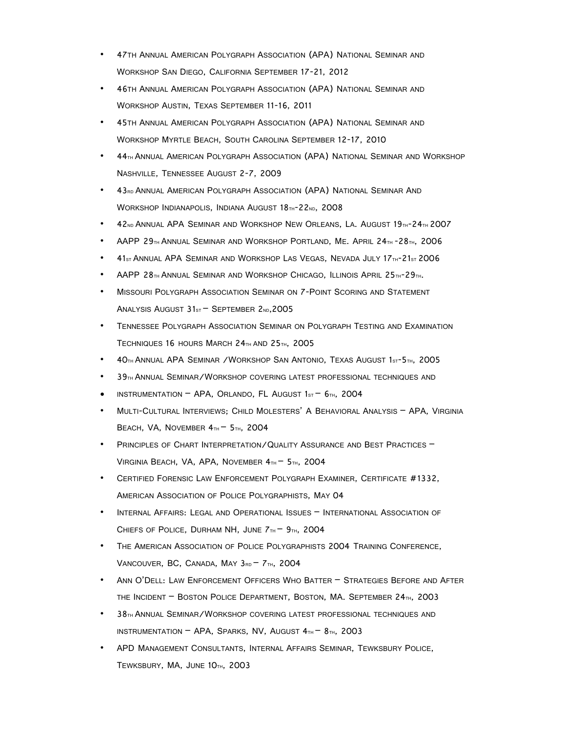- 47TH ANNUAL AMERICAN POLYGRAPH ASSOCIATION (APA) NATIONAL SEMINAR AND WORKSHOP SAN DIEGO, CALIFORNIA SEPTEMBER 17-21, 2012
- 46TH ANNUAL AMERICAN POLYGRAPH ASSOCIATION (APA) NATIONAL SEMINAR AND WORKSHOP AUSTIN, TEXAS SEPTEMBER 11-16, 2011
- 45TH ANNUAL AMERICAN POLYGRAPH ASSOCIATION (APA) NATIONAL SEMINAR AND WORKSHOP MYRTLE BEACH, SOUTH CAROLINA SEPTEMBER 12-17, 2010
- 44<sub>TH</sub> ANNUAL AMERICAN POLYGRAPH ASSOCIATION (APA) NATIONAL SEMINAR AND WORKSHOP NASHVILLE, TENNESSEE AUGUST 2-7, 2009
- 43<sub>RD</sub> ANNUAL AMERICAN POLYGRAPH ASSOCIATION (APA) NATIONAL SEMINAR AND WORKSHOP INDIANAPOLIS, INDIANA AUGUST 18TH-22ND, 2008
- 42ND ANNUAL APA SEMINAR AND WORKSHOP NEW ORLEANS, LA. AUGUST 19TH-24TH 2007
- AAPP 29 $_{\text{TH}}$  ANNUAL SEMINAR AND WORKSHOP PORTLAND, ME. APRIL 24 $_{\text{TH}}$  -28 $_{\text{TH}}$ , 2006
- 41ST ANNUAL APA SEMINAR AND WORKSHOP LAS VEGAS, NEVADA JULY 17TH-21ST 2006
- AAPP  $28\pi$ H ANNUAL SEMINAR AND WORKSHOP CHICAGO, ILLINOIS APRIL  $25\pi$ I-29 $\pi$ H.
- MISSOURI POLYGRAPH ASSOCIATION SEMINAR ON 7-POINT SCORING AND STATEMENT ANALYSIS AUGUST 31st - SEPTEMBER 2ND, 2005
- TENNESSEE POLYGRAPH ASSOCIATION SEMINAR ON POLYGRAPH TESTING AND EXAMINATION TECHNIQUES 16 HOURS MARCH 24TH AND 25TH, 2005
- 40TH ANNUAL APA SEMINAR /WORKSHOP SAN ANTONIO, TEXAS AUGUST 1ST-5TH, 2005
- 39TH ANNUAL SEMINAR/WORKSHOP COVERING LATEST PROFESSIONAL TECHNIQUES AND
- INSTRUMENTATION APA, ORLANDO, FL AUGUST  $1s<sub>T</sub>$   $6<sub>TH</sub>$ , 2004
- MULTI-CULTURAL INTERVIEWS; CHILD MOLESTERS' A BEHAVIORAL ANALYSIS APA, VIRGINIA BEACH, VA, NOVEMBER  $4<sub>TH</sub> - 5<sub>TH</sub>$ , 2004
- PRINCIPLES OF CHART INTERPRETATION/QUALITY ASSURANCE AND BEST PRACTICES VIRGINIA BEACH, VA, APA, NOVEMBER 4TH - 5TH, 2004
- CERTIFIED FORENSIC LAW ENFORCEMENT POLYGRAPH EXAMINER, CERTIFICATE #1332, AMERICAN ASSOCIATION OF POLICE POLYGRAPHISTS, MAY 04
- INTERNAL AFFAIRS: LEGAL AND OPERATIONAL ISSUES INTERNATIONAL ASSOCIATION OF CHIEFS OF POLICE, DURHAM NH, JUNE  $7<sub>TH</sub> - 9<sub>TH</sub>$ , 2004
- THE AMERICAN ASSOCIATION OF POLICE POLYGRAPHISTS 2004 TRAINING CONFERENCE, VANCOUVER, BC, CANADA, MAY  $3_{RD}$  –  $7_{TH}$ , 2004
- ANN O'DELL: LAW ENFORCEMENT OFFICERS WHO BATTER STRATEGIES BEFORE AND AFTER THE INCIDENT – BOSTON POLICE DEPARTMENT, BOSTON, MA. SEPTEMBER 24TH, 2003
- 38TH ANNUAL SEMINAR/WORKSHOP COVERING LATEST PROFESSIONAL TECHNIQUES AND INSTRUMENTATION – APA, SPARKS, NV, AUGUST  $4<sub>TH</sub>$  –  $8<sub>TH</sub>$ , 2003
- APD MANAGEMENT CONSULTANTS, INTERNAL AFFAIRS SEMINAR, TEWKSBURY POLICE, TEWKSBURY, MA, JUNE 10TH, 2003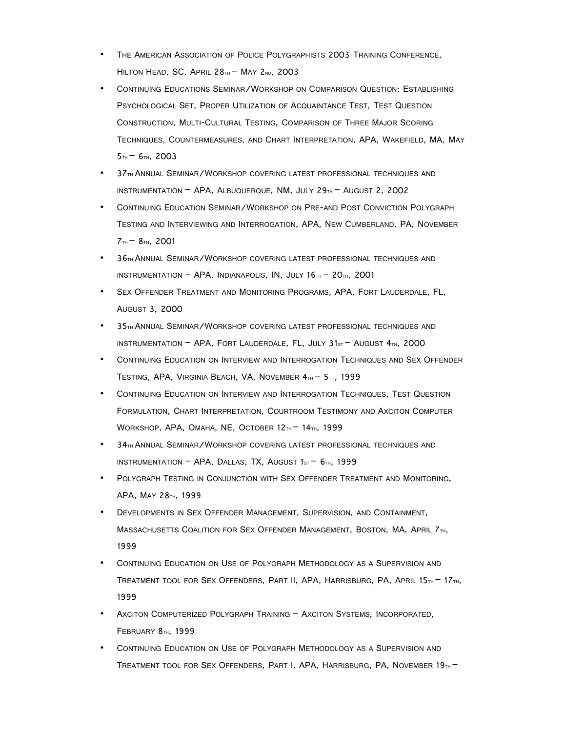- THE AMERICAN ASSOCIATION OF POLICE POLYGRAPHISTS 2003 TRAINING CONFERENCE, HILTON HEAD, SC, APRIL 28TH – MAY 2ND, 2003
- CONTINUING EDUCATIONS SEMINAR/WORKSHOP ON COMPARISON QUESTION: ESTABLISHING PSYCHOLOGICAL SET, PROPER UTILIZATION OF ACQUAINTANCE TEST, TEST QUESTION CONSTRUCTION, MULTI-CULTURAL TESTING, COMPARISON OF THREE MAJOR SCORING TECHNIQUES, COUNTERMEASURES, AND CHART INTERPRETATION, APA, WAKEFIELD, MA, MAY  $5H - 6H$ , 2003
- 37TH ANNUAL SEMINAR/WORKSHOP COVERING LATEST PROFESSIONAL TECHNIQUES AND INSTRUMENTATION – APA, ALBUQUERQUE, NM, JULY 29 $_{\text{TH}}$  – AUGUST 2, 2002
- CONTINUING EDUCATION SEMINAR/WORKSHOP ON PRE-AND POST CONVICTION POLYGRAPH TESTING AND INTERVIEWING AND INTERROGATION, APA, NEW CUMBERLAND, PA, NOVEMBER  $7T_{TH}$  –  $8T_{TH}$ , 2001
- 36TH ANNUAL SEMINAR/WORKSHOP COVERING LATEST PROFESSIONAL TECHNIQUES AND INSTRUMENTATION – APA, INDIANAPOLIS, IN, JULY  $16<sub>TH</sub>$  –  $20<sub>TH</sub>$ , 2001
- SEX OFFENDER TREATMENT AND MONITORING PROGRAMS, APA, FORT LAUDERDALE, FL, AUGUST 3, 2000
- 35TH ANNUAL SEMINAR/WORKSHOP COVERING LATEST PROFESSIONAL TECHNIQUES AND INSTRUMENTATION – APA, FORT LAUDERDALE, FL, JULY  $31_{ST}$  – AUGUST  $4_{TH}$ , 2000
- CONTINUING EDUCATION ON INTERVIEW AND INTERROGATION TECHNIQUES AND SEX OFFENDER TESTING, APA, VIRGINIA BEACH, VA, NOVEMBER 4TH - 5TH, 1999
- CONTINUING EDUCATION ON INTERVIEW AND INTERROGATION TECHNIQUES, TEST QUESTION FORMULATION, CHART INTERPRETATION, COURTROOM TESTIMONY AND AXCITON COMPUTER WORKSHOP, APA, OMAHA, NE, OCTOBER 12TH - 14TH, 1999
- 34TH ANNUAL SEMINAR/WORKSHOP COVERING LATEST PROFESSIONAL TECHNIQUES AND INSTRUMENTATION – APA, DALLAS, TX, AUGUST  $1sT - 6TH$ , 1999
- POLYGRAPH TESTING IN CONJUNCTION WITH SEX OFFENDER TREATMENT AND MONITORING, APA, MAY 28TH, 1999
- DEVELOPMENTS IN SEX OFFENDER MANAGEMENT, SUPERVISION, AND CONTAINMENT, MASSACHUSETTS COALITION FOR SEX OFFENDER MANAGEMENT, BOSTON, MA, APRIL 7TH, 1999
- CONTINUING EDUCATION ON USE OF POLYGRAPH METHODOLOGY AS A SUPERVISION AND TREATMENT TOOL FOR SEX OFFENDERS, PART II, APA, HARRISBURG, PA, APRIL 15TH – 17TH, 1999
- AXCITON COMPUTERIZED POLYGRAPH TRAINING AXCITON SYSTEMS, INCORPORATED, FEBRUARY 8TH, 1999
- CONTINUING EDUCATION ON USE OF POLYGRAPH METHODOLOGY AS A SUPERVISION AND TREATMENT TOOL FOR SEX OFFENDERS, PART I, APA, HARRISBURG, PA, NOVEMBER  $19<sub>TH</sub>$